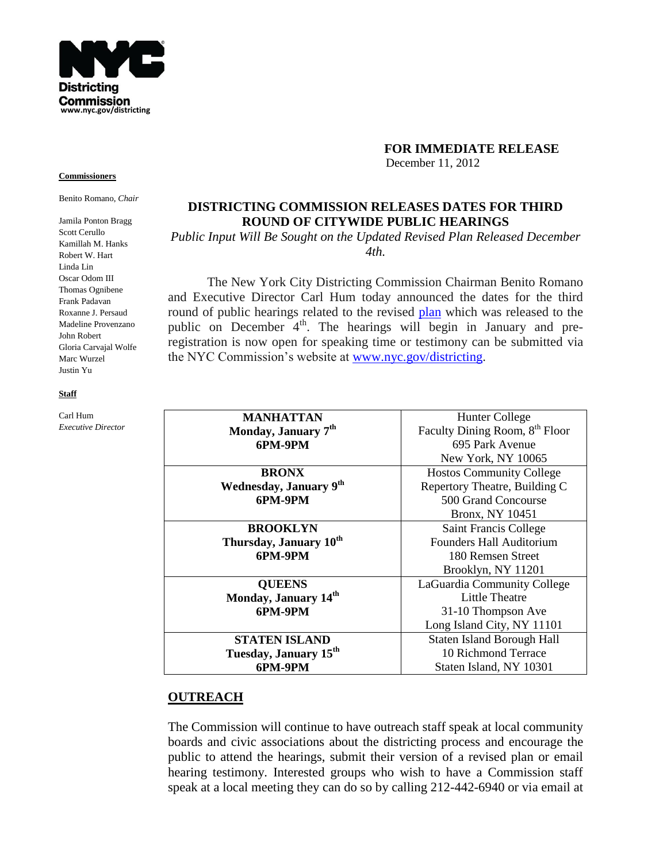

### **FOR IMMEDIATE RELEASE**

December 11, 2012

# **DISTRICTING COMMISSION RELEASES DATES FOR THIRD ROUND OF CITYWIDE PUBLIC HEARINGS**

*Public Input Will Be Sought on the Updated Revised Plan Released December 4th.*

The New York City Districting Commission Chairman Benito Romano and Executive Director Carl Hum today announced the dates for the third round of public hearings related to the revised [plan](http://www.nyc.gov/html/dc/html/maps/maps.shtml) which was released to the public on December  $4<sup>th</sup>$ . The hearings will begin in January and preregistration is now open for speaking time or testimony can be submitted via the NYC Commission's website at [www.nyc.gov/districting.](http://www.nyc.gov/districting)

| MANHATTAN                          | <b>Hunter College</b>                      |
|------------------------------------|--------------------------------------------|
| Monday, January 7 <sup>th</sup>    | Faculty Dining Room, 8 <sup>th</sup> Floor |
| 6PM-9PM                            | 695 Park Avenue                            |
|                                    | New York, NY 10065                         |
| <b>BRONX</b>                       | <b>Hostos Community College</b>            |
| Wednesday, January 9th             | Repertory Theatre, Building C              |
| 6PM-9PM                            | 500 Grand Concourse                        |
|                                    | <b>Bronx, NY 10451</b>                     |
| <b>BROOKLYN</b>                    | Saint Francis College                      |
| Thursday, January 10 <sup>th</sup> | Founders Hall Auditorium                   |
| 6PM-9PM                            | 180 Remsen Street                          |
|                                    | Brooklyn, NY 11201                         |
| <b>QUEENS</b>                      | LaGuardia Community College                |
| Monday, January 14 <sup>th</sup>   | <b>Little Theatre</b>                      |
| 6PM-9PM                            | 31-10 Thompson Ave                         |
|                                    | Long Island City, NY 11101                 |
| STATEN ISLAND                      | Staten Island Borough Hall                 |
| Tuesday, January 15 <sup>th</sup>  | 10 Richmond Terrace                        |
| 6PM-9PM                            | Staten Island, NY 10301                    |

## **OUTREACH**

The Commission will continue to have outreach staff speak at local community boards and civic associations about the districting process and encourage the public to attend the hearings, submit their version of a revised plan or email hearing testimony. Interested groups who wish to have a Commission staff speak at a local meeting they can do so by calling 212-442-6940 or via email at

#### **Commissioners**

Benito Romano, *Chair*

Jamila Ponton Bragg Scott Cerullo Kamillah M. Hanks Robert W. Hart Linda Lin Oscar Odom III Thomas Ognibene Frank Padavan Roxanne J. Persaud Madeline Provenzano John Robert Gloria Carvajal Wolfe Marc Wurzel Justin Yu

#### **Staff**

Carl Hum *Executive Director*